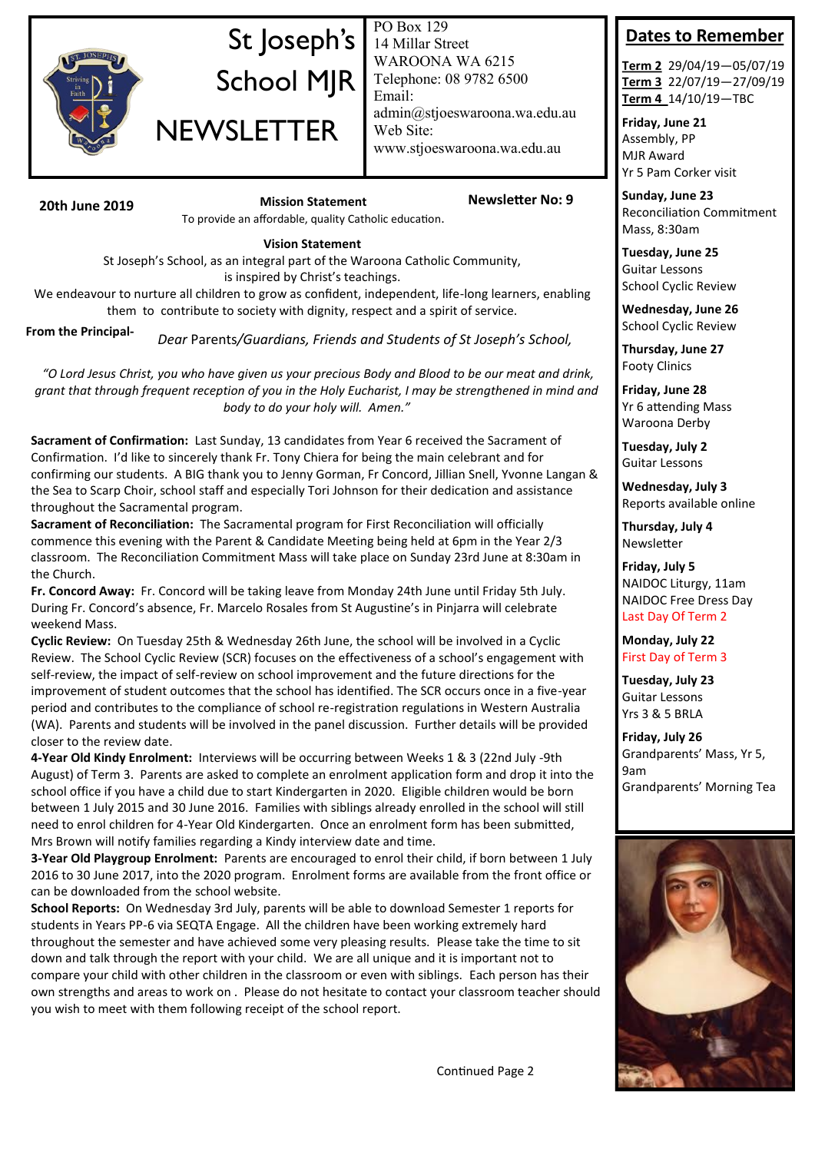

# St Joseph's School MJR NEWSLETTER

PO Box 129 14 Millar Street WAROONA WA 6215 Telephone: 08 9782 6500 Email: admin@stjoeswaroona.wa.edu.au Web Site: www.stjoeswaroona.wa.edu.au

### **20th June 2019 Mission Statement Newsletter No: 9**

To provide an affordable, quality Catholic education.

#### **Vision Statement**

St Joseph's School, as an integral part of the Waroona Catholic Community, is inspired by Christ's teachings.

We endeavour to nurture all children to grow as confident, independent, life-long learners, enabling them to contribute to society with dignity, respect and a spirit of service.

#### *Dear* Parents*/Guardians, Friends and Students of St Joseph's School,*  **From the Principal-**

*"O Lord Jesus Christ, you who have given us your precious Body and Blood to be our meat and drink, grant that through frequent reception of you in the Holy Eucharist, I may be strengthened in mind and body to do your holy will. Amen."*

**Sacrament of Confirmation:** Last Sunday, 13 candidates from Year 6 received the Sacrament of Confirmation. I'd like to sincerely thank Fr. Tony Chiera for being the main celebrant and for confirming our students. A BIG thank you to Jenny Gorman, Fr Concord, Jillian Snell, Yvonne Langan & the Sea to Scarp Choir, school staff and especially Tori Johnson for their dedication and assistance throughout the Sacramental program.

**Sacrament of Reconciliation:** The Sacramental program for First Reconciliation will officially commence this evening with the Parent & Candidate Meeting being held at 6pm in the Year 2/3 classroom. The Reconciliation Commitment Mass will take place on Sunday 23rd June at 8:30am in the Church.

**Fr. Concord Away:** Fr. Concord will be taking leave from Monday 24th June until Friday 5th July. During Fr. Concord's absence, Fr. Marcelo Rosales from St Augustine's in Pinjarra will celebrate weekend Mass.

**Cyclic Review:** On Tuesday 25th & Wednesday 26th June, the school will be involved in a Cyclic Review. The School Cyclic Review (SCR) focuses on the effectiveness of a school's engagement with self-review, the impact of self-review on school improvement and the future directions for the improvement of student outcomes that the school has identified. The SCR occurs once in a five-year period and contributes to the compliance of school re-registration regulations in Western Australia (WA). Parents and students will be involved in the panel discussion. Further details will be provided closer to the review date.

**4-Year Old Kindy Enrolment:** Interviews will be occurring between Weeks 1 & 3 (22nd July -9th August) of Term 3. Parents are asked to complete an enrolment application form and drop it into the school office if you have a child due to start Kindergarten in 2020. Eligible children would be born between 1 July 2015 and 30 June 2016. Families with siblings already enrolled in the school will still need to enrol children for 4-Year Old Kindergarten. Once an enrolment form has been submitted, Mrs Brown will notify families regarding a Kindy interview date and time.

**3-Year Old Playgroup Enrolment:** Parents are encouraged to enrol their child, if born between 1 July 2016 to 30 June 2017, into the 2020 program. Enrolment forms are available from the front office or can be downloaded from the school website.

**School Reports:** On Wednesday 3rd July, parents will be able to download Semester 1 reports for students in Years PP-6 via SEQTA Engage. All the children have been working extremely hard throughout the semester and have achieved some very pleasing results. Please take the time to sit down and talk through the report with your child. We are all unique and it is important not to compare your child with other children in the classroom or even with siblings. Each person has their own strengths and areas to work on . Please do not hesitate to contact your classroom teacher should you wish to meet with them following receipt of the school report.

## **Dates to Remember**

**Term 2** 29/04/19—05/07/19 **Term 3** 22/07/19—27/09/19 **Term 4** 14/10/19—TBC

**Friday, June 21** Assembly, PP MJR Award Yr 5 Pam Corker visit

**Sunday, June 23** Reconciliation Commitment Mass, 8:30am

**Tuesday, June 25** Guitar Lessons School Cyclic Review

**Wednesday, June 26** School Cyclic Review

**Thursday, June 27** Footy Clinics

**Friday, June 28** Yr 6 attending Mass Waroona Derby

**Tuesday, July 2** Guitar Lessons

**Wednesday, July 3** Reports available online

**Thursday, July 4** Newsletter

**Friday, July 5** NAIDOC Liturgy, 11am NAIDOC Free Dress Day Last Day Of Term 2

**Monday, July 22** First Day of Term 3

**Tuesday, July 23** Guitar Lessons Yrs 3 & 5 BRLA

**Friday, July 26** Grandparents' Mass, Yr 5, 9am Grandparents' Morning Tea



Continued Page 2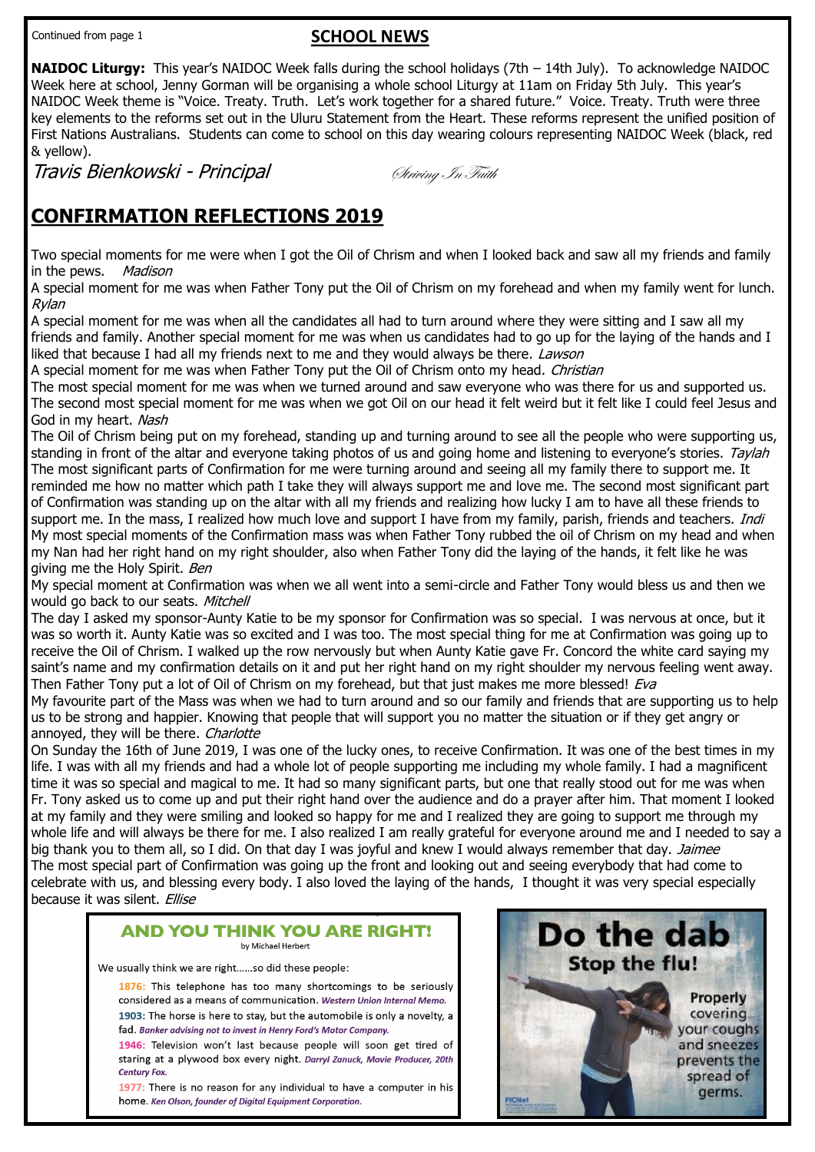### **SCHOOL NEWS**

**NAIDOC Liturgy:** This year's NAIDOC Week falls during the school holidays (7th – 14th July). To acknowledge NAIDOC Week here at school, Jenny Gorman will be organising a whole school Liturgy at 11am on Friday 5th July. This year's NAIDOC Week theme is "Voice. Treaty. Truth. Let's work together for a shared future." Voice. Treaty. Truth were three key elements to the reforms set out in the Uluru Statement from the Heart. These reforms represent the unified position of First Nations Australians. Students can come to school on this day wearing colours representing NAIDOC Week (black, red & yellow).

Travis Bienkowski - Principal Strawing In Faith

# **CONFIRMATION REFLECTIONS 2019**

Two special moments for me were when I got the Oil of Chrism and when I looked back and saw all my friends and family in the pews. Madison **Mathematic Service Contract Contract Contract Contract Contract Contract Contract Contract Contract Contract Contract Contract Contract Contract Contract Contract Contract Contract Contract Contract C** 

A special moment for me was when Father Tony put the Oil of Chrism on my forehead and when my family went for lunch. Rylan and the control of the control of the control of the control of the control of the control of the control of the control of the control of the control of the control of the control of the control of the control of th

A special moment for me was when all the candidates all had to turn around where they were sitting and I saw all my friends and family. Another special moment for me was when us candidates had to go up for the laying of the hands and I liked that because I had all my friends next to me and they would always be there. *Lawson* 

A special moment for me was when Father Tony put the Oil of Chrism onto my head. Christian

The most special moment for me was when we turned around and saw everyone who was there for us and supported us. The second most special moment for me was when we got Oil on our head it felt weird but it felt like I could feel Jesus and God in my heart. Nash

The Oil of Chrism being put on my forehead, standing up and turning around to see all the people who were supporting us, standing in front of the altar and everyone taking photos of us and going home and listening to everyone's stories. Taylah The most significant parts of Confirmation for me were turning around and seeing all my family there to support me. It reminded me how no matter which path I take they will always support me and love me. The second most significant part of Confirmation was standing up on the altar with all my friends and realizing how lucky I am to have all these friends to support me. In the mass, I realized how much love and support I have from my family, parish, friends and teachers. *Indi* My most special moments of the Confirmation mass was when Father Tony rubbed the oil of Chrism on my head and when my Nan had her right hand on my right shoulder, also when Father Tony did the laying of the hands, it felt like he was giving me the Holy Spirit. Ben

My special moment at Confirmation was when we all went into a semi-circle and Father Tony would bless us and then we would go back to our seats. Mitchell

The day I asked my sponsor-Aunty Katie to be my sponsor for Confirmation was so special. I was nervous at once, but it was so worth it. Aunty Katie was so excited and I was too. The most special thing for me at Confirmation was going up to receive the Oil of Chrism. I walked up the row nervously but when Aunty Katie gave Fr. Concord the white card saying my saint's name and my confirmation details on it and put her right hand on my right shoulder my nervous feeling went away. Then Father Tony put a lot of Oil of Chrism on my forehead, but that just makes me more blessed! Eva

My favourite part of the Mass was when we had to turn around and so our family and friends that are supporting us to help us to be strong and happier. Knowing that people that will support you no matter the situation or if they get angry or annoyed, they will be there. Charlotte

On Sunday the 16th of June 2019, I was one of the lucky ones, to receive Confirmation. It was one of the best times in my life. I was with all my friends and had a whole lot of people supporting me including my whole family. I had a magnificent time it was so special and magical to me. It had so many significant parts, but one that really stood out for me was when Fr. Tony asked us to come up and put their right hand over the audience and do a prayer after him. That moment I looked at my family and they were smiling and looked so happy for me and I realized they are going to support me through my whole life and will always be there for me. I also realized I am really grateful for everyone around me and I needed to say a big thank you to them all, so I did. On that day I was joyful and knew I would always remember that day. Jaimee The most special part of Confirmation was going up the front and looking out and seeing everybody that had come to celebrate with us, and blessing every body. I also loved the laying of the hands, I thought it was very special especially because it was silent. *Ellise* 

#### **AND YOU THINK YOU ARE RIGHT!** by Michael Herbert

We usually think we are right......so did these people:

1876: This telephone has too many shortcomings to be seriously considered as a means of communication. Western Union Internal Memo. 1903: The horse is here to stay, but the automobile is only a novelty, a fad. Banker advising not to invest in Henry Ford's Motor Company.

1946: Television won't last because people will soon get tired of staring at a plywood box every night. Darryl Zanuck, Movie Producer, 20th **Century Fox.** 

1977: There is no reason for any individual to have a computer in his home. Ken Olson, founder of Digital Equipment Corporation.

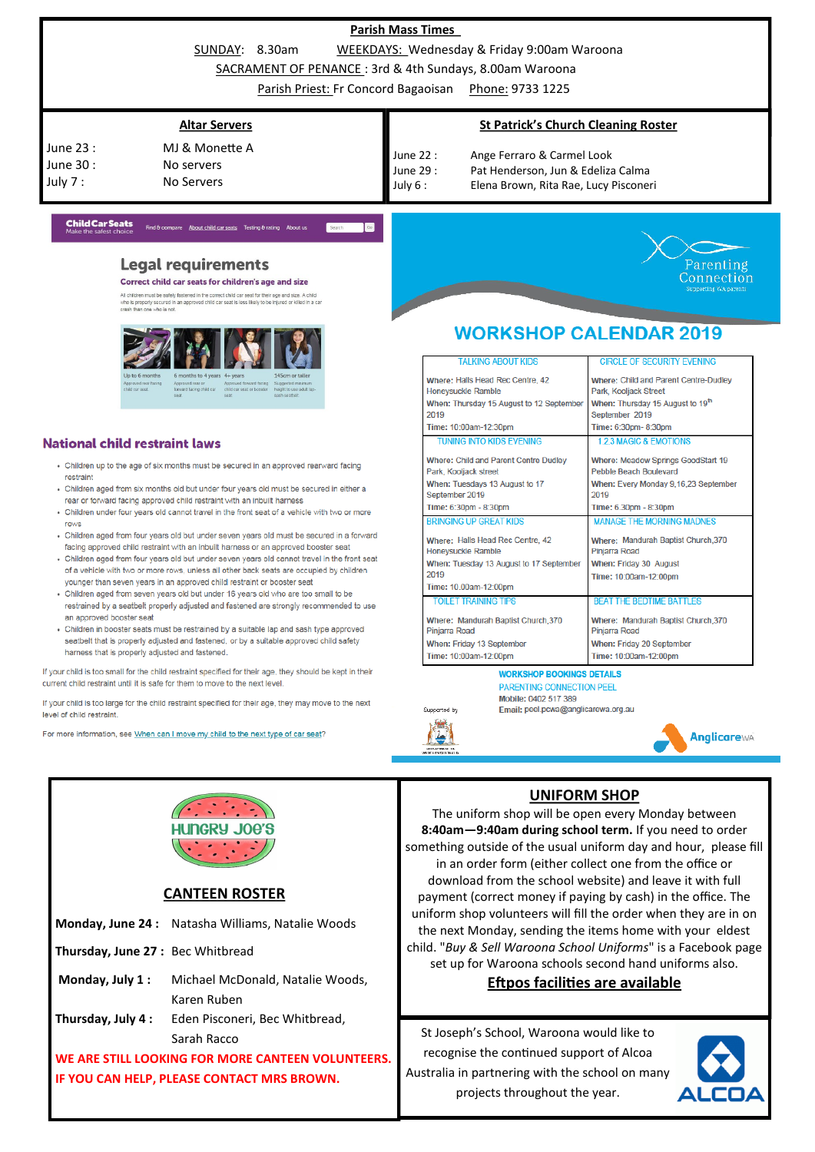| <b>Parish Mass Times</b>                                                                                                                                                                 |                                                                                                                                                                                                             |                                                                                                       |                                                                                                                                                                                                                                                                    |                                                                |  |
|------------------------------------------------------------------------------------------------------------------------------------------------------------------------------------------|-------------------------------------------------------------------------------------------------------------------------------------------------------------------------------------------------------------|-------------------------------------------------------------------------------------------------------|--------------------------------------------------------------------------------------------------------------------------------------------------------------------------------------------------------------------------------------------------------------------|----------------------------------------------------------------|--|
|                                                                                                                                                                                          | SUNDAY: 8.30am                                                                                                                                                                                              |                                                                                                       | WEEKDAYS: Wednesday & Friday 9:00am Waroona                                                                                                                                                                                                                        |                                                                |  |
| SACRAMENT OF PENANCE: 3rd & 4th Sundays, 8.00am Waroona                                                                                                                                  |                                                                                                                                                                                                             |                                                                                                       |                                                                                                                                                                                                                                                                    |                                                                |  |
|                                                                                                                                                                                          | Parish Priest: Fr Concord Bagaoisan Phone: 9733 1225                                                                                                                                                        |                                                                                                       |                                                                                                                                                                                                                                                                    |                                                                |  |
| <b>Altar Servers</b>                                                                                                                                                                     |                                                                                                                                                                                                             |                                                                                                       | <b>St Patrick's Church Cleaning Roster</b>                                                                                                                                                                                                                         |                                                                |  |
| June 23 :                                                                                                                                                                                | MJ & Monette A                                                                                                                                                                                              | June 22 :                                                                                             | Ange Ferraro & Carmel Look                                                                                                                                                                                                                                         |                                                                |  |
| June 30:                                                                                                                                                                                 | No servers                                                                                                                                                                                                  | June 29 :<br>Pat Henderson, Jun & Edeliza Calma<br>July $6:$<br>Elena Brown, Rita Rae, Lucy Pisconeri |                                                                                                                                                                                                                                                                    |                                                                |  |
| July $7:$                                                                                                                                                                                | <b>No Servers</b>                                                                                                                                                                                           |                                                                                                       |                                                                                                                                                                                                                                                                    |                                                                |  |
|                                                                                                                                                                                          |                                                                                                                                                                                                             |                                                                                                       |                                                                                                                                                                                                                                                                    |                                                                |  |
| <b>Child Car Seats</b><br>Make the safest choice                                                                                                                                         | $\rm{Go}$<br>Find & compare About child car seats Testing & rating<br>Search<br>About us                                                                                                                    |                                                                                                       |                                                                                                                                                                                                                                                                    |                                                                |  |
|                                                                                                                                                                                          | <b>Legal requirements</b>                                                                                                                                                                                   |                                                                                                       |                                                                                                                                                                                                                                                                    | Parenting                                                      |  |
|                                                                                                                                                                                          | Correct child car seats for children's age and size                                                                                                                                                         |                                                                                                       |                                                                                                                                                                                                                                                                    | Connection                                                     |  |
|                                                                                                                                                                                          | All children must be safely fastened in the correct child car seat for their age and size. A child<br>who is properly secured in an approved child car seat is less likely to be injured or killed in a car |                                                                                                       |                                                                                                                                                                                                                                                                    | upporting WA parents                                           |  |
|                                                                                                                                                                                          | crash than one who is not.                                                                                                                                                                                  |                                                                                                       |                                                                                                                                                                                                                                                                    |                                                                |  |
|                                                                                                                                                                                          |                                                                                                                                                                                                             |                                                                                                       | <b>WORKSHOP CALENDAR 2019</b>                                                                                                                                                                                                                                      |                                                                |  |
|                                                                                                                                                                                          |                                                                                                                                                                                                             |                                                                                                       | <b>TALKING ABOUT KIDS</b>                                                                                                                                                                                                                                          | <b>CIRCLE OF SECURITY EVENING</b>                              |  |
|                                                                                                                                                                                          | Approved rear facing<br>Approved forward facing Su<br>child car seat.<br>forward facing child car child car seat or booster height to use adult lap-                                                        |                                                                                                       | Where: Halls Head Rec Centre, 42<br><b>Honeysuckle Ramble</b>                                                                                                                                                                                                      | Where: Child and Parent Centre-Dudley<br>Park, Kooljack Street |  |
|                                                                                                                                                                                          | seat.<br>seat<br>sash seathelt                                                                                                                                                                              |                                                                                                       | When: Thursday 15 August to 12 September                                                                                                                                                                                                                           | When: Thursday 15 August to 19 <sup>th</sup>                   |  |
|                                                                                                                                                                                          |                                                                                                                                                                                                             | 2019                                                                                                  | Time: 10:00am-12:30pm                                                                                                                                                                                                                                              | September 2019<br>Time: 6:30pm-8:30pm                          |  |
|                                                                                                                                                                                          | <b>National child restraint laws</b>                                                                                                                                                                        |                                                                                                       | <b>TUNING INTO KIDS EVENING</b>                                                                                                                                                                                                                                    | <b>1.2.3 MAGIC &amp; EMOTIONS</b>                              |  |
|                                                                                                                                                                                          |                                                                                                                                                                                                             |                                                                                                       | Where: Child and Parent Centre Dudley                                                                                                                                                                                                                              | Where: Meadow Springs GoodStart 19                             |  |
| restraint                                                                                                                                                                                | • Children up to the age of six months must be secured in an approved rearward facing                                                                                                                       |                                                                                                       | Park, Kooljack street                                                                                                                                                                                                                                              | Pebble Beach Boulevard                                         |  |
| . Children aged from six months old but under four years old must be secured in either a                                                                                                 |                                                                                                                                                                                                             |                                                                                                       | When: Tuesdays 13 August to 17<br>September 2019                                                                                                                                                                                                                   | When: Every Monday 9,16,23 September<br>2019                   |  |
| rear or forward facing approved child restraint with an inbuilt harness<br>. Children under four years old cannot travel in the front seat of a vehicle with two or more                 |                                                                                                                                                                                                             |                                                                                                       | Time: 6:30pm - 8:30pm                                                                                                                                                                                                                                              | Time: 6.30pm - 8:30pm                                          |  |
| rows                                                                                                                                                                                     |                                                                                                                                                                                                             |                                                                                                       | <b>BRINGING UP GREAT KIDS</b>                                                                                                                                                                                                                                      | <b>MANAGE THE MORNING MADNES</b>                               |  |
| . Children aged from four years old but under seven years old must be secured in a forward<br>facing approved child restraint with an inbuilt harness or an approved booster seat        |                                                                                                                                                                                                             |                                                                                                       | Where: Halls Head Rec Centre, 42                                                                                                                                                                                                                                   | Where: Mandurah Baptist Church, 370                            |  |
| - Children aged from four years old but under seven years old cannot travel in the front seat                                                                                            |                                                                                                                                                                                                             |                                                                                                       | <b>Honeysuckle Ramble</b><br>When: Tuesday 13 August to 17 September                                                                                                                                                                                               | Pinjarra Road<br>When: Friday 30 August                        |  |
| of a vehicle with two or more rows, unless all other back seats are occupied by children<br>younger than seven years in an approved child restraint or booster seat                      |                                                                                                                                                                                                             |                                                                                                       |                                                                                                                                                                                                                                                                    | Time: 10:00am-12:00pm                                          |  |
| • Children aged from seven years old but under 16 years old who are too small to be                                                                                                      |                                                                                                                                                                                                             |                                                                                                       | Time: 10.00am-12:00pm<br><b>TOILET TRAINING TIPS</b>                                                                                                                                                                                                               | <b>BEAT THE BEDTIME BATTLES</b>                                |  |
| restrained by a seatbelt properly adjusted and fastened are strongly recommended to use<br>an approved booster seat                                                                      |                                                                                                                                                                                                             |                                                                                                       |                                                                                                                                                                                                                                                                    |                                                                |  |
| • Children in booster seats must be restrained by a suitable lap and sash type approved                                                                                                  |                                                                                                                                                                                                             |                                                                                                       | Where: Mandurah Baptist Church, 370<br>Pinjarra Road                                                                                                                                                                                                               | Where: Mandurah Baptist Church, 370<br>Pinjarra Road           |  |
| seatbelt that is properly adjusted and fastened, or by a suitable approved child safety                                                                                                  |                                                                                                                                                                                                             |                                                                                                       | When: Friday 13 September                                                                                                                                                                                                                                          | When: Friday 20 September                                      |  |
|                                                                                                                                                                                          | harness that is properly adjusted and fastened.                                                                                                                                                             |                                                                                                       | Time: 10:00am-12:00pm                                                                                                                                                                                                                                              | Time: 10:00am-12:00pm                                          |  |
| If your child is too small for the child restraint specified for their age, they should be kept in their<br>current child restraint until it is safe for them to move to the next level. |                                                                                                                                                                                                             |                                                                                                       | <b>WORKSHOP BOOKINGS DETAILS</b><br><b>PARENTING CONNECTION PEEL</b>                                                                                                                                                                                               |                                                                |  |
| If your child is too large for the child restraint specified for their age, they may move to the next                                                                                    |                                                                                                                                                                                                             |                                                                                                       | Mobile: 0402 517 389                                                                                                                                                                                                                                               |                                                                |  |
| level of child restraint.                                                                                                                                                                |                                                                                                                                                                                                             |                                                                                                       | Email: peel.pcwa@anglicarewa.org.au<br>Supported by                                                                                                                                                                                                                |                                                                |  |
| For more information, see When can I move my child to the next type of car seat?                                                                                                         |                                                                                                                                                                                                             |                                                                                                       |                                                                                                                                                                                                                                                                    | <b>Anglicare</b> wa                                            |  |
|                                                                                                                                                                                          |                                                                                                                                                                                                             |                                                                                                       |                                                                                                                                                                                                                                                                    |                                                                |  |
|                                                                                                                                                                                          |                                                                                                                                                                                                             |                                                                                                       |                                                                                                                                                                                                                                                                    |                                                                |  |
|                                                                                                                                                                                          |                                                                                                                                                                                                             |                                                                                                       | <b>UNIFORM SHOP</b><br>The uniform shop will be open every Monday between<br>8:40am-9:40am during school term. If you need to order<br>something outside of the usual uniform day and hour, please fill<br>in an order form (either collect one from the office or |                                                                |  |
| <b>CANTEEN ROSTER</b>                                                                                                                                                                    |                                                                                                                                                                                                             |                                                                                                       |                                                                                                                                                                                                                                                                    |                                                                |  |
|                                                                                                                                                                                          |                                                                                                                                                                                                             |                                                                                                       |                                                                                                                                                                                                                                                                    |                                                                |  |
|                                                                                                                                                                                          |                                                                                                                                                                                                             |                                                                                                       |                                                                                                                                                                                                                                                                    |                                                                |  |
|                                                                                                                                                                                          |                                                                                                                                                                                                             |                                                                                                       |                                                                                                                                                                                                                                                                    |                                                                |  |
|                                                                                                                                                                                          |                                                                                                                                                                                                             |                                                                                                       | download from the school website) and leave it with full                                                                                                                                                                                                           |                                                                |  |
|                                                                                                                                                                                          |                                                                                                                                                                                                             |                                                                                                       | payment (correct money if paying by cash) in the office. The                                                                                                                                                                                                       |                                                                |  |
| Monday, June 24: Natasha Williams, Natalie Woods                                                                                                                                         |                                                                                                                                                                                                             |                                                                                                       | uniform shop volunteers will fill the order when they are in on                                                                                                                                                                                                    |                                                                |  |
|                                                                                                                                                                                          |                                                                                                                                                                                                             |                                                                                                       | the next Monday, sending the items home with your eldest                                                                                                                                                                                                           |                                                                |  |
| Thursday, June 27 : Bec Whitbread                                                                                                                                                        |                                                                                                                                                                                                             |                                                                                                       | child. "Buy & Sell Waroona School Uniforms" is a Facebook page                                                                                                                                                                                                     |                                                                |  |
| Monday, July 1:                                                                                                                                                                          |                                                                                                                                                                                                             |                                                                                                       | set up for Waroona schools second hand uniforms also.                                                                                                                                                                                                              |                                                                |  |
|                                                                                                                                                                                          | Michael McDonald, Natalie Woods,                                                                                                                                                                            |                                                                                                       | <b>Eftpos facilities are available</b>                                                                                                                                                                                                                             |                                                                |  |
|                                                                                                                                                                                          | Karen Ruben                                                                                                                                                                                                 |                                                                                                       |                                                                                                                                                                                                                                                                    |                                                                |  |
| Thursday, July 4:                                                                                                                                                                        | Eden Pisconeri, Bec Whitbread,                                                                                                                                                                              |                                                                                                       |                                                                                                                                                                                                                                                                    |                                                                |  |

Sarah Racco

**WE ARE STILL LOOKING FOR MORE CANTEEN VOLUNTEERS. IF YOU CAN HELP, PLEASE CONTACT MRS BROWN.** 

St Joseph's School, Waroona would like to recognise the continued support of Alcoa Australia in partnering with the school on many projects throughout the year.